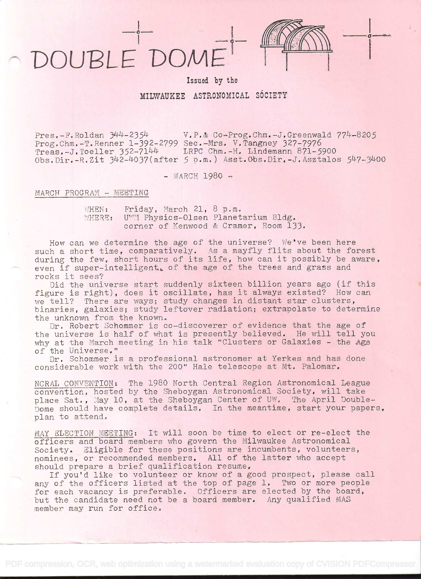## DOUBLE DOME



Issued by the

MILWAUKEE ASTRONOMICAL SOCIETY

Pres, $-F$ .Roldan  $344-2354$  V.P.& Co-Prog.Chm.-J.Greenwald  $774-8205$ Prog.Chm.-T.Renner 1-392-2799 Sec.-Mrs. V.Tangney 327-7976<br>Treas.-J.Toeller 352-7144 LRPC Chm.-H. Lindemann 871-5900 Treas.-J.Toeller 352-7144 LRPC Chm.-H. Lindemann 871-5900<br>Obs.Dir.-R.Zit 342-4037(after 5 p.m.) Asst.Obs.Dir.-J.Asztalos 547-3400

 $-$  MARCH 1980  $-$ 

## MARCH PROGRAM - MEETING

WHEN: Friday, March 21, 8 p.m.<br>WHERE: UWM Physics-Olsen Planet UWM Physics-Olsen Planetarium Bldg. corner of Kenwood & Cramer, Room 133.

How can we determine the age of the universe? We've been here such a short time, comparatively. As a mayfly flits about the forest during the few, short hours of its life, how can it possibly be aware, even if super-intelligent, of the age of the trees and grass and rocks it sees?

Did the universe start suddenly sixteen billion years ago (if this figure is right), does it oscillate, has it always existed? How can we tell? There are ways; study changes in distant star clusters,<br>binaries, galaxies; study leftover radiation; extrapolate to determine the unknown from the known.

Dr. Robert Schommer is co-discoverer of evidence that the age of the universe is half of what is presently believed, He will tell you why at the March meeting in his talk "Clusters or Galaxies - the Age of the Universe,"

Dr. Schommer is a professional astronomer at Yerkes and has done considerable work with the 200" Hale telescope at Mt. Palomar,

NCRAL CONVENTION: The 1980 North Central Region Astronomical League convention, hosted by the Sheboygan Astronomical Society., will take place Sat., May 10, at the Sheboygan Center of UW, The April Double-Dome should have complete details, In the meantime, start your papers, plan to attend.

MAY SLECTION MEETING: It will soon be time to elect or re-elect the officers and board members who govern the Milwaukee Astronomical Society. Sligible for these positions are incumbents, volunteers, nominees, or recommended members. All of the latter who accept<br>should prepare a brief qualification resume.

If you'd like to volunteer or know of a good prospect, please call any of the officers listed at the top of page 1. Two or more people for each vacancy is preferable. Officers are elected by the board, but the candidate need not be a board member, Any qualified MAS member may run for office.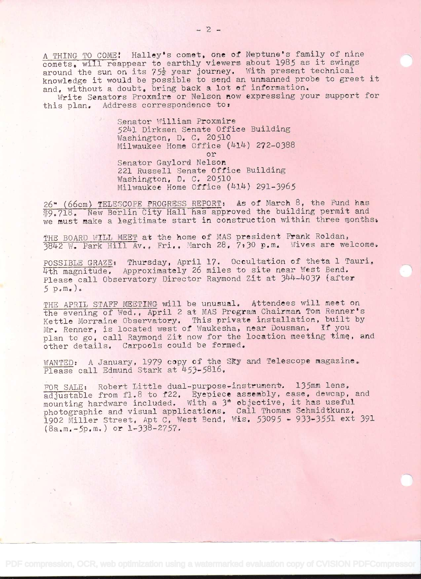A THING TO COME: Halley's comet, one of Neptune's family of nine comets, will reappear to earthly viewers about 1985 as it swings<br>around the sun on its  $75\frac{1}{2}$  year journey. With present technical comets, will reappear to earthly viewers about 1909 as 10 Swings<br>around the sun on its 75<sup>1</sup> year journey. With present technical<br>knowledge it would be possible to send an unmanned probe to greet it knowledge it would be possible to send an unmanned proso so

Write Senators Proxmire or Nelson now expressing your support for this plan. Address correspondence to:

> Senator William Proxmire 5241 Dirksen Senate Office Building<br>Washington, D. C. 20510 Milwaukee Home Office (414) 272-0388 or Senator Gaylord Ne1so 221 Russell Senate Office Building<br>Washington, D. C. 20510 Milwaukee Home Office (414) 291-3965

26" (66cm) TELESCOPE PROGRESS REPORT: As of March 8, the Fund has **39.718.** New Berlin City Hall has approved the building permit and we must make a legitimate start in construction within three months.

THE BOARD WILL MEET at the home of MAS president Frank Roldan, 3842 W. Park Hill Av., Fri., March 28, 7:30 p.m. Wives are welcome.

POSSIBLE GRAZE: Thursday, April 17. Occultation of theta 1 Tauri, 4th magnitude. Approximately 26 miles to site near West Bend. Please call Observatory Director Raymond Zit at 344-4037 (after  $5 p_e m_e$ ).

THE APRIL STAFF MEETING will be unusual. Attendees will meet on the evening of Wed., April 2 at MAS Program Chairman Tom Renner's Kettle Morraine Observatory. This private installation, built by Mr. Renner, is located west of Waukesha, near Dousman. If you plan to go, call Raymond Zit now for the location meeting time, and other details, Garpools could be formed.

WANTED: A January, 1979 copy of the Sky and Telescope magazine. Please call Edmund Stark at  $453-5816$ ,

FOR SALE: Robert Little dual-purpose-instrument. 135mm lens, and adjustable from fl.8 to f22. Eyepiece assembly, case, dewcap, and mounting hardware included. With a 3" objective, it has useful mounting naruware included. With a jobjective, it has ascrar photographic and visual appricutions. Wait from Bosnies Sources, 391  $(8a_{\star}m_{\star}-5p_{\star}m_{\star})$  or 1-338-2757.